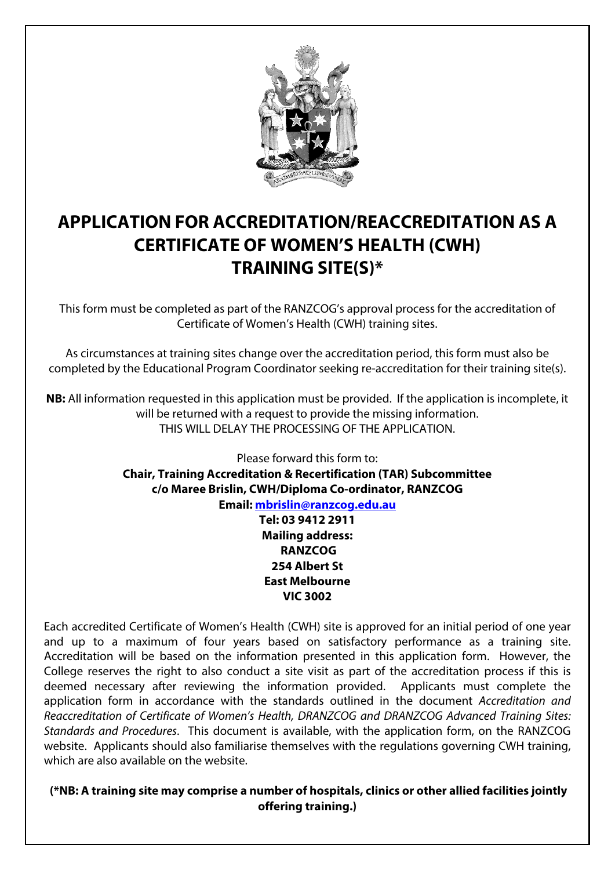

# **APPLICATION FOR ACCREDITATION/REACCREDITATION AS A CERTIFICATE OF WOMEN'S HEALTH (CWH) TRAINING SITE(S)\***

This form must be completed as part of the RANZCOG's approval process for the accreditation of Certificate of Women's Health (CWH) training sites.

As circumstances at training sites change over the accreditation period, this form must also be completed by the Educational Program Coordinator seeking re-accreditation for their training site(s).

**NB:** All information requested in this application must be provided. If the application is incomplete, it will be returned with a request to provide the missing information. THIS WILL DELAY THE PROCESSING OF THE APPLICATION.

> Please forward this form to: **Chair, Training Accreditation & Recertification (TAR) Subcommittee c/o Maree Brislin, CWH/Diploma Co-ordinator, RANZCOG Email: mbrislin@ranzcog.edu.au Tel: 03 9412 2911 Mailing address: RANZCOG 254 Albert St East Melbourne VIC 3002**

Each accredited Certificate of Women's Health (CWH) site is approved for an initial period of one year and up to a maximum of four years based on satisfactory performance as a training site. Accreditation will be based on the information presented in this application form. However, the College reserves the right to also conduct a site visit as part of the accreditation process if this is deemed necessary after reviewing the information provided. Applicants must complete the application form in accordance with the standards outlined in the document Accreditation and Reaccreditation of Certificate of Women's Health, DRANZCOG and DRANZCOG Advanced Training Sites: Standards and Procedures. This document is available, with the application form, on the RANZCOG website. Applicants should also familiarise themselves with the regulations governing CWH training, which are also available on the website.

 **(\*NB: A training site may comprise a number of hospitals, clinics or other allied facilities jointly offering training.)**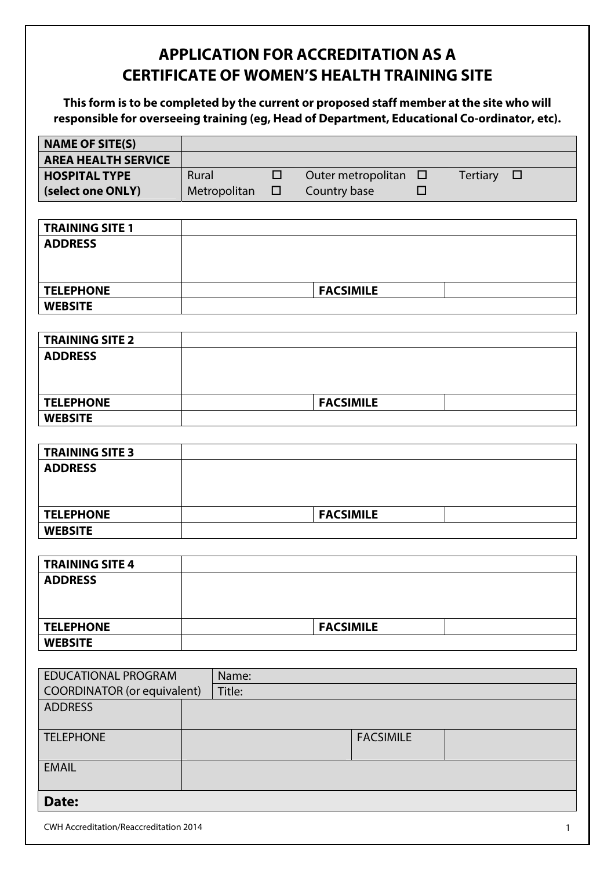# **APPLICATION FOR ACCREDITATION AS A CERTIFICATE OF WOMEN'S HEALTH TRAINING SITE**

**This form is to be completed by the current or proposed staff member at the site who will responsible for overseeing training (eg, Head of Department, Educational Co-ordinator, etc).** 

| <b>NAME OF SITE(S)</b>                 |              |        |                           |        |                           |
|----------------------------------------|--------------|--------|---------------------------|--------|---------------------------|
| <b>AREA HEALTH SERVICE</b>             |              |        |                           |        |                           |
| <b>HOSPITAL TYPE</b>                   | Rural        | $\Box$ | Outer metropolitan $\Box$ |        | <b>Tertiary</b><br>$\Box$ |
| (select one ONLY)                      | Metropolitan | $\Box$ | Country base              | $\Box$ |                           |
|                                        |              |        |                           |        |                           |
| <b>TRAINING SITE 1</b>                 |              |        |                           |        |                           |
| <b>ADDRESS</b>                         |              |        |                           |        |                           |
|                                        |              |        |                           |        |                           |
|                                        |              |        |                           |        |                           |
| <b>TELEPHONE</b>                       |              |        | <b>FACSIMILE</b>          |        |                           |
| <b>WEBSITE</b>                         |              |        |                           |        |                           |
|                                        |              |        |                           |        |                           |
| <b>TRAINING SITE 2</b>                 |              |        |                           |        |                           |
| <b>ADDRESS</b>                         |              |        |                           |        |                           |
|                                        |              |        |                           |        |                           |
|                                        |              |        |                           |        |                           |
| <b>TELEPHONE</b>                       |              |        | <b>FACSIMILE</b>          |        |                           |
| <b>WEBSITE</b>                         |              |        |                           |        |                           |
|                                        |              |        |                           |        |                           |
| <b>TRAINING SITE 3</b>                 |              |        |                           |        |                           |
| <b>ADDRESS</b>                         |              |        |                           |        |                           |
|                                        |              |        |                           |        |                           |
|                                        |              |        |                           |        |                           |
| <b>TELEPHONE</b>                       |              |        | <b>FACSIMILE</b>          |        |                           |
| <b>WEBSITE</b>                         |              |        |                           |        |                           |
|                                        |              |        |                           |        |                           |
| <b>TRAINING SITE 4</b>                 |              |        |                           |        |                           |
| <b>ADDRESS</b>                         |              |        |                           |        |                           |
|                                        |              |        |                           |        |                           |
|                                        |              |        |                           |        |                           |
| <b>TELEPHONE</b>                       |              |        | <b>FACSIMILE</b>          |        |                           |
| <b>WEBSITE</b>                         |              |        |                           |        |                           |
|                                        |              |        |                           |        |                           |
| <b>EDUCATIONAL PROGRAM</b>             | Name:        |        |                           |        |                           |
| <b>COORDINATOR</b> (or equivalent)     | Title:       |        |                           |        |                           |
| <b>ADDRESS</b>                         |              |        |                           |        |                           |
| <b>TELEPHONE</b>                       |              |        | <b>FACSIMILE</b>          |        |                           |
|                                        |              |        |                           |        |                           |
| <b>EMAIL</b>                           |              |        |                           |        |                           |
|                                        |              |        |                           |        |                           |
| Date:                                  |              |        |                           |        |                           |
|                                        |              |        |                           |        |                           |
| CWH Accreditation/Reaccreditation 2014 |              |        |                           |        | $\mathbf{1}$              |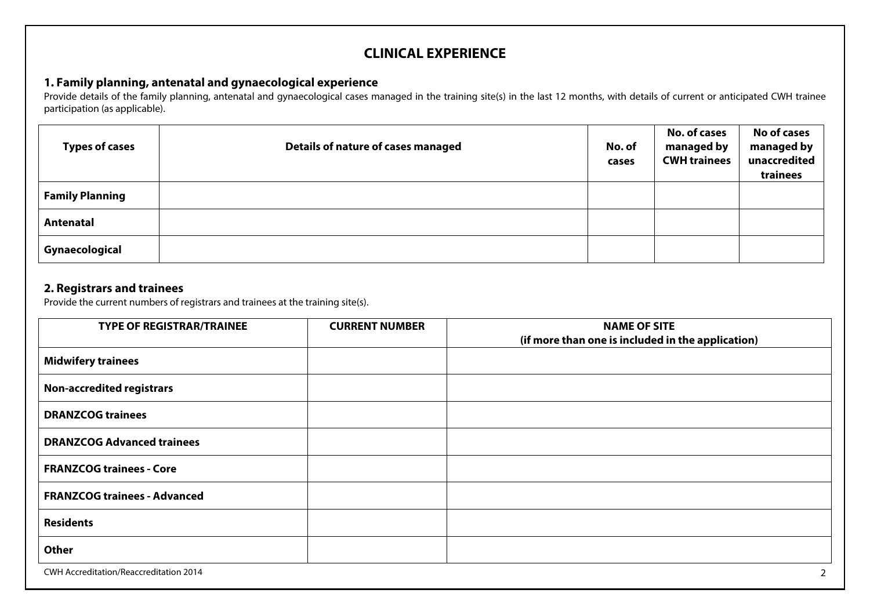# **CLINICAL EXPERIENCE**

## **1. Family planning, antenatal and gynaecological experience**

Provide details of the family planning, antenatal and gynaecological cases managed in the training site(s) in the last 12 months, with details of current or anticipated CWH trainee participation (as applicable).

| <b>Types of cases</b>  | Details of nature of cases managed | No. of<br>cases | <b>No. of cases</b><br>managed by<br><b>CWH trainees</b> | <b>No of cases</b><br>managed by<br>unaccredited<br>trainees |
|------------------------|------------------------------------|-----------------|----------------------------------------------------------|--------------------------------------------------------------|
| <b>Family Planning</b> |                                    |                 |                                                          |                                                              |
| Antenatal              |                                    |                 |                                                          |                                                              |
| Gynaecological         |                                    |                 |                                                          |                                                              |

## **2. Registrars and trainees**

Provide the current numbers of registrars and trainees at the training site(s).

| <b>TYPE OF REGISTRAR/TRAINEE</b>       | <b>CURRENT NUMBER</b> | <b>NAME OF SITE</b>                               |
|----------------------------------------|-----------------------|---------------------------------------------------|
|                                        |                       | (if more than one is included in the application) |
| <b>Midwifery trainees</b>              |                       |                                                   |
| <b>Non-accredited registrars</b>       |                       |                                                   |
| <b>DRANZCOG trainees</b>               |                       |                                                   |
| <b>DRANZCOG Advanced trainees</b>      |                       |                                                   |
| <b>FRANZCOG trainees - Core</b>        |                       |                                                   |
| <b>FRANZCOG trainees - Advanced</b>    |                       |                                                   |
| <b>Residents</b>                       |                       |                                                   |
| <b>Other</b>                           |                       |                                                   |
| CWH Accreditation/Reaccreditation 2014 |                       | $\mathcal{P}$                                     |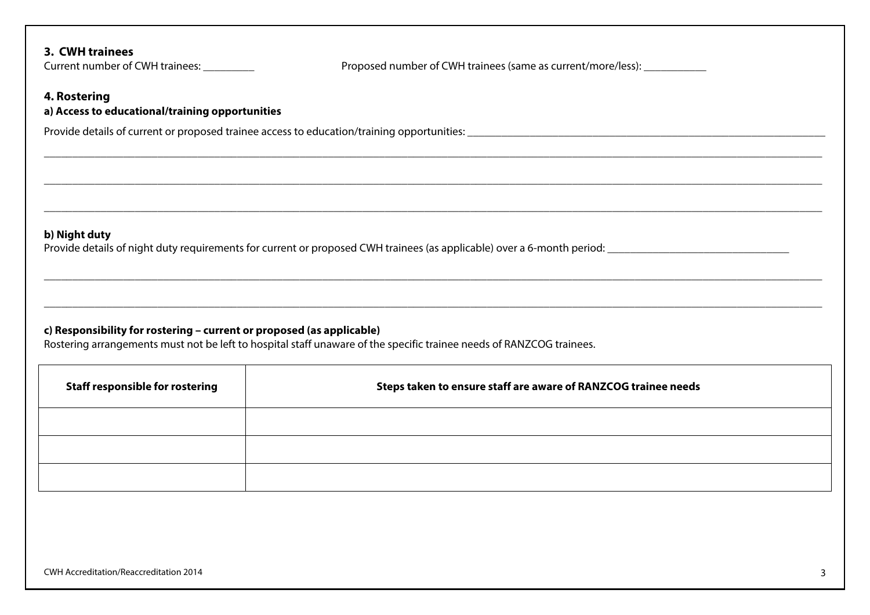## **3. CWH trainees**

Current number of CWH trainees: \_\_\_\_\_\_\_\_\_\_ Proposed number of CWH trainees (same as current/more/less): \_\_\_\_\_\_\_\_

\_\_\_\_\_\_\_\_\_\_\_\_\_\_\_\_\_\_\_\_\_\_\_\_\_\_\_\_\_\_\_\_\_\_\_\_\_\_\_\_\_\_\_\_\_\_\_\_\_\_\_\_\_\_\_\_\_\_\_\_\_\_\_\_\_\_\_\_\_\_\_\_\_\_\_\_\_\_\_\_\_\_\_\_\_\_\_\_\_\_\_\_\_\_\_\_\_\_\_\_\_\_\_\_\_\_\_\_\_\_\_\_\_\_\_\_\_\_\_\_\_\_\_\_\_\_\_\_\_\_\_\_\_\_\_\_\_

\_\_\_\_\_\_\_\_\_\_\_\_\_\_\_\_\_\_\_\_\_\_\_\_\_\_\_\_\_\_\_\_\_\_\_\_\_\_\_\_\_\_\_\_\_\_\_\_\_\_\_\_\_\_\_\_\_\_\_\_\_\_\_\_\_\_\_\_\_\_\_\_\_\_\_\_\_\_\_\_\_\_\_\_\_\_\_\_\_\_\_\_\_\_\_\_\_\_\_\_\_\_\_\_\_\_\_\_\_\_\_\_\_\_\_\_\_\_\_\_\_\_\_\_\_\_\_\_\_\_\_\_\_\_\_\_\_

## **4. Rostering**

## **a) Access to educational/training opportunities**

Provide details of current or proposed trainee access to education/training opportunities: \_\_\_\_\_\_\_\_\_\_\_\_\_\_\_\_\_\_\_\_\_\_\_\_\_\_\_\_\_\_\_\_\_\_\_\_\_\_\_\_\_\_\_\_\_\_\_\_\_\_\_\_\_\_\_\_\_\_\_\_\_\_\_

#### **b) Night duty**

Provide details of night duty requirements for current or proposed CWH trainees (as applicable) over a 6-month period: \_\_\_\_\_\_\_\_\_\_\_\_\_\_\_\_\_\_\_\_\_\_\_\_\_\_\_\_\_\_\_\_

## **c) Responsibility for rostering – current or proposed (as applicable)**

Rostering arrangements must not be left to hospital staff unaware of the specific trainee needs of RANZCOG trainees.

| <b>Staff responsible for rostering</b> | Steps taken to ensure staff are aware of RANZCOG trainee needs |
|----------------------------------------|----------------------------------------------------------------|
|                                        |                                                                |
|                                        |                                                                |
|                                        |                                                                |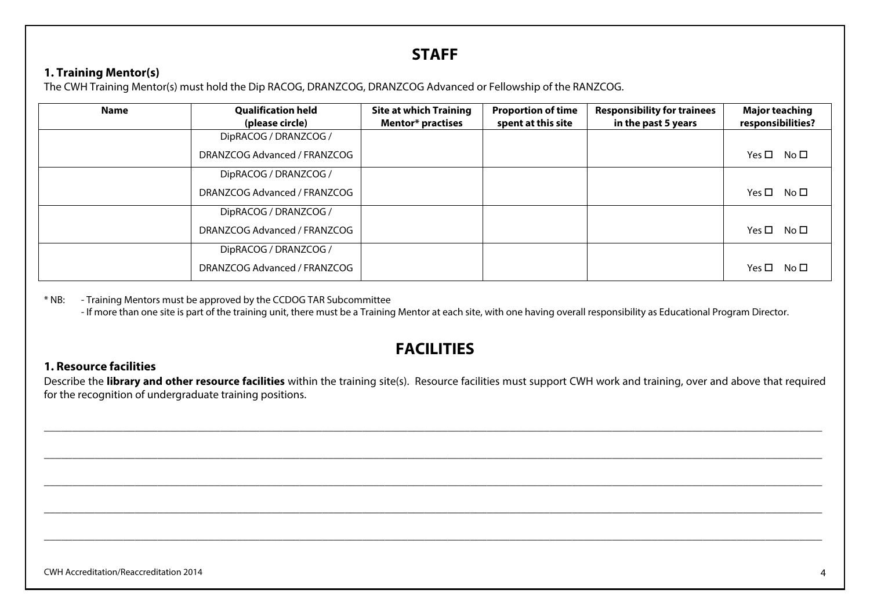# **STAFF**

## **1. Training Mentor(s)**

The CWH Training Mentor(s) must hold the Dip RACOG, DRANZCOG, DRANZCOG Advanced or Fellowship of the RANZCOG.

| <b>Name</b> | <b>Qualification held</b><br>(please circle) | <b>Site at which Training</b><br><b>Mentor* practises</b> | <b>Proportion of time</b><br>spent at this site | <b>Responsibility for trainees</b><br>in the past 5 years | <b>Major teaching</b><br>responsibilities? |
|-------------|----------------------------------------------|-----------------------------------------------------------|-------------------------------------------------|-----------------------------------------------------------|--------------------------------------------|
|             | DipRACOG / DRANZCOG /                        |                                                           |                                                 |                                                           |                                            |
|             | DRANZCOG Advanced / FRANZCOG                 |                                                           |                                                 |                                                           | $Yes \Box No \Box$                         |
|             | DipRACOG / DRANZCOG /                        |                                                           |                                                 |                                                           |                                            |
|             | DRANZCOG Advanced / FRANZCOG                 |                                                           |                                                 |                                                           | $Yes \Box No \Box$                         |
|             | DipRACOG / DRANZCOG /                        |                                                           |                                                 |                                                           |                                            |
|             | DRANZCOG Advanced / FRANZCOG                 |                                                           |                                                 |                                                           | $Yes \Box No \Box$                         |
|             | DipRACOG / DRANZCOG /                        |                                                           |                                                 |                                                           |                                            |
|             | DRANZCOG Advanced / FRANZCOG                 |                                                           |                                                 |                                                           | $Yes \Box No \Box$                         |

\* NB: - Training Mentors must be approved by the CCDOG TAR Subcommittee

- If more than one site is part of the training unit, there must be a Training Mentor at each site, with one having overall responsibility as Educational Program Director.

# **FACILITIES**

## **1. Resource facilities**

Describe the **library and other resource facilities** within the training site(s). Resource facilities must support CWH work and training, over and above that required for the recognition of undergraduate training positions.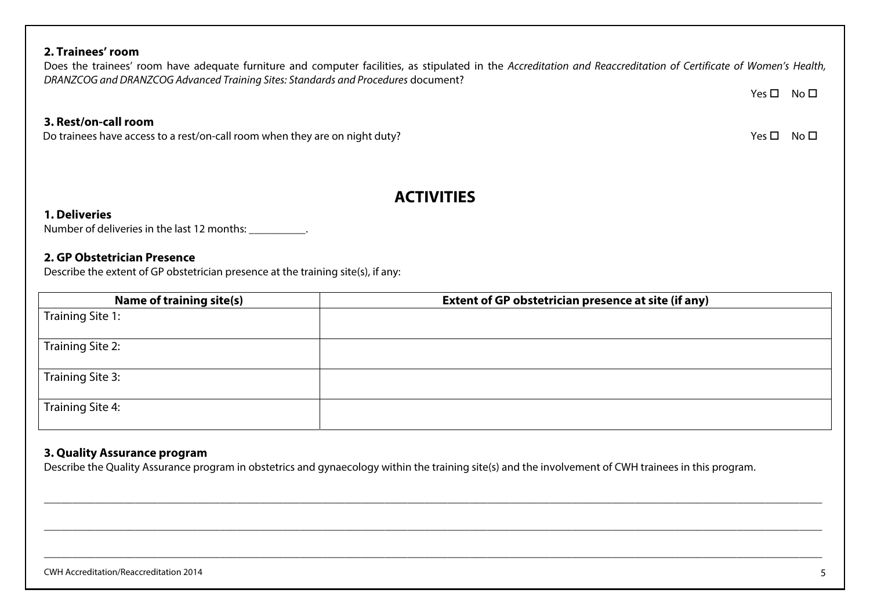# **ACTIVITIES**

Does the trainees' room have adequate furniture and computer facilities, as stipulated in the Accreditation and Reaccreditation of Certificate of Women's Health,

#### **1. Deliveries**

**2. Trainees' room** 

**3. Rest/on-call room**

Number of deliveries in the last 12 months: \_\_\_\_\_\_\_\_\_\_.

#### **2. GP Obstetrician Presence**

Describe the extent of GP obstetrician presence at the training site(s), if any:

Do trainees have access to a rest/on-call room when they are on night duty?

DRANZCOG and DRANZCOG Advanced Training Sites: Standards and Procedures document?

| Name of training site(s) | Extent of GP obstetrician presence at site (if any) |
|--------------------------|-----------------------------------------------------|
| Training Site 1:         |                                                     |
|                          |                                                     |
| Training Site 2:         |                                                     |
| Training Site 3:         |                                                     |
| Training Site 4:         |                                                     |

## **3. Quality Assurance program**

Describe the Quality Assurance program in obstetrics and gynaecology within the training site(s) and the involvement of CWH trainees in this program.

Yes □ No □

 $\square$  No  $\square$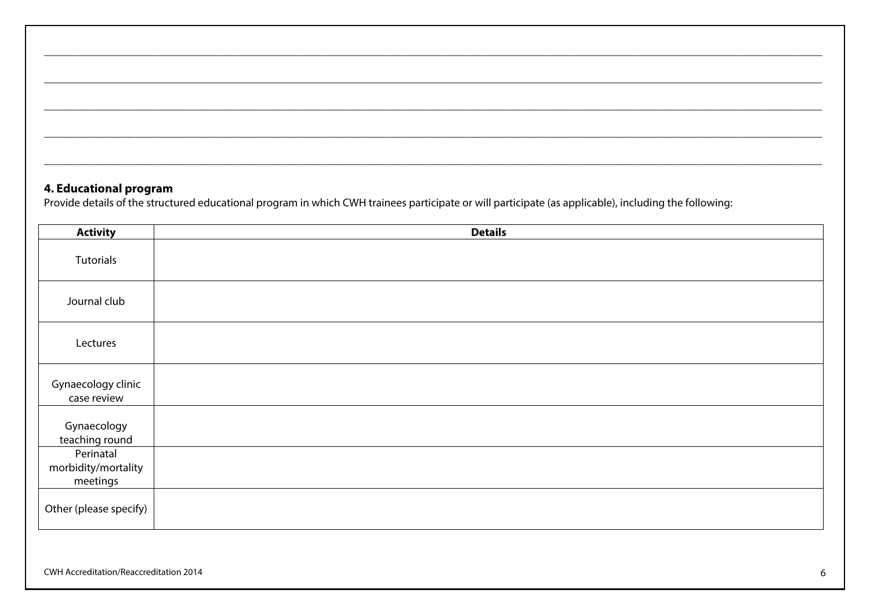## **4. Educational program**

Provide details of the structured educational program in which CWH trainees participate or will participate (as applicable), including the following:

| <b>Activity</b>                              | <b>Details</b> |
|----------------------------------------------|----------------|
| Tutorials                                    |                |
| Journal club                                 |                |
| Lectures                                     |                |
| Gynaecology clinic<br>case review            |                |
| Gynaecology<br>teaching round                |                |
| Perinatal<br>morbidity/mortality<br>meetings |                |
| Other (please specify)                       |                |